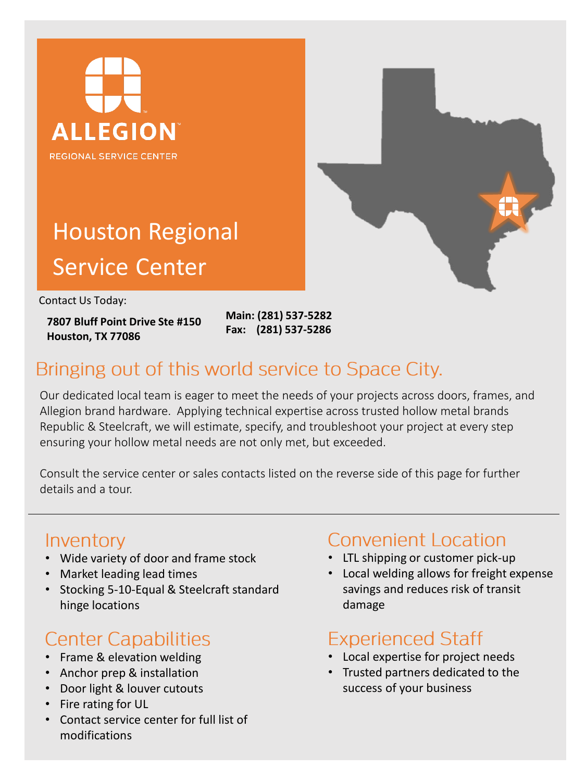



# Houston Regional Service Center

Contact Us Today:

**7807 Bluff Point Drive Ste #150 Houston, TX 77086**

**Main: (281) 537-5282 Fax: (281) 537-5286**

## Bringing out of this world service to Space City.

Our dedicated local team is eager to meet the needs of your projects across doors, frames, and Allegion brand hardware. Applying technical expertise across trusted hollow metal brands Republic & Steelcraft, we will estimate, specify, and troubleshoot your project at every step ensuring your hollow metal needs are not only met, but exceeded.

Consult the service center or sales contacts listed on the reverse side of this page for further details and a tour.

### Inventory

- Wide variety of door and frame stock
- Market leading lead times
- Stocking 5-10-Equal & Steelcraft standard hinge locations

# **Center Capabilities**

- Frame & elevation welding
- Anchor prep & installation
- Door light & louver cutouts
- Fire rating for UL
- Contact service center for full list of modifications

### Convenient Location

- LTL shipping or customer pick-up
- Local welding allows for freight expense savings and reduces risk of transit damage

### **Experienced Staff**

- Local expertise for project needs
- Trusted partners dedicated to the success of your business